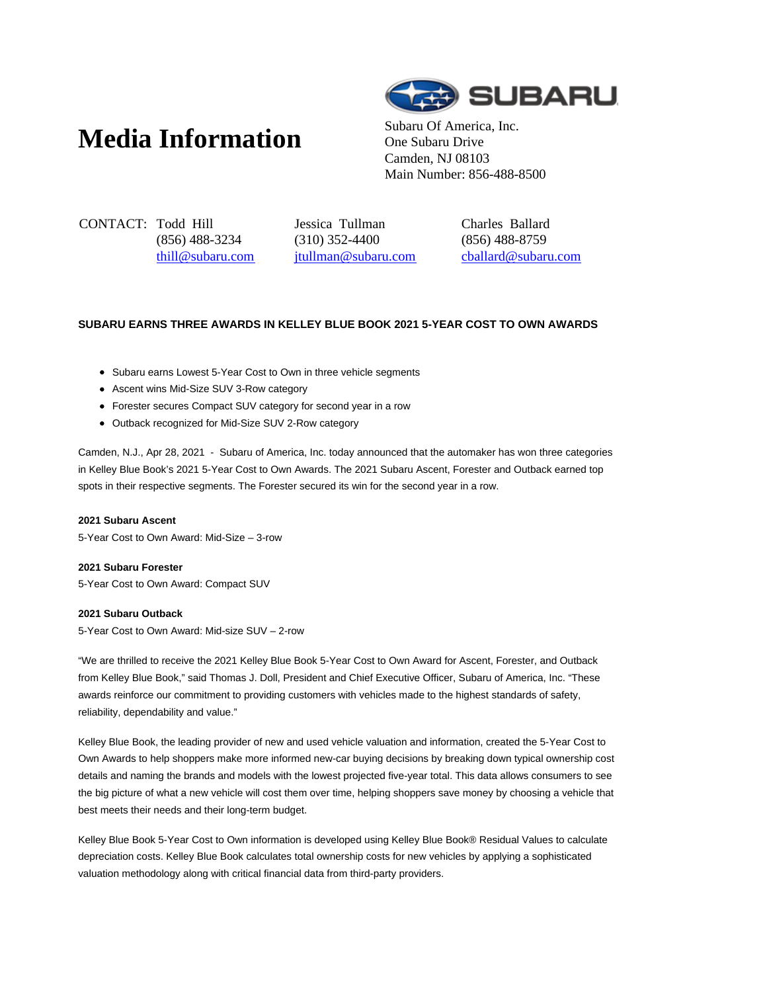# **Media Information** Subaru Of America, Inc.



One Subaru Drive Camden, NJ 08103 Main Number: 856-488-8500

CONTACT: Todd Hill (856) 488-3234 thill@subaru.com Jessica Tullman (310) 352-4400 jtullman@subaru.com Charles Ballard (856) 488-8759 cballard@subaru.com

# **SUBARU EARNS THREE AWARDS IN KELLEY BLUE BOOK 2021 5-YEAR COST TO OWN AWARDS**

- Subaru earns Lowest 5-Year Cost to Own in three vehicle segments
- Ascent wins Mid-Size SUV 3-Row category
- Forester secures Compact SUV category for second year in a row
- Outback recognized for Mid-Size SUV 2-Row category

Camden, N.J., Apr 28, 2021 - Subaru of America, Inc. today announced that the automaker has won three categories in Kelley Blue Book's 2021 5-Year Cost to Own Awards. The 2021 Subaru Ascent, Forester and Outback earned top spots in their respective segments. The Forester secured its win for the second year in a row.

#### **2021 Subaru Ascent**

5-Year Cost to Own Award: Mid-Size – 3-row

#### **2021 Subaru Forester**

5-Year Cost to Own Award: Compact SUV

## **2021 Subaru Outback**

5-Year Cost to Own Award: Mid-size SUV – 2-row

"We are thrilled to receive the 2021 Kelley Blue Book 5-Year Cost to Own Award for Ascent, Forester, and Outback from Kelley Blue Book," said Thomas J. Doll, President and Chief Executive Officer, Subaru of America, Inc. "These awards reinforce our commitment to providing customers with vehicles made to the highest standards of safety, reliability, dependability and value."

Kelley Blue Book, the leading provider of new and used vehicle valuation and information, created the 5-Year Cost to Own Awards to help shoppers make more informed new-car buying decisions by breaking down typical ownership cost details and naming the brands and models with the lowest projected five-year total. This data allows consumers to see the big picture of what a new vehicle will cost them over time, helping shoppers save money by choosing a vehicle that best meets their needs and their long-term budget.

Kelley Blue Book 5-Year Cost to Own information is developed using Kelley Blue Book® Residual Values to calculate depreciation costs. Kelley Blue Book calculates total ownership costs for new vehicles by applying a sophisticated valuation methodology along with critical financial data from third-party providers.